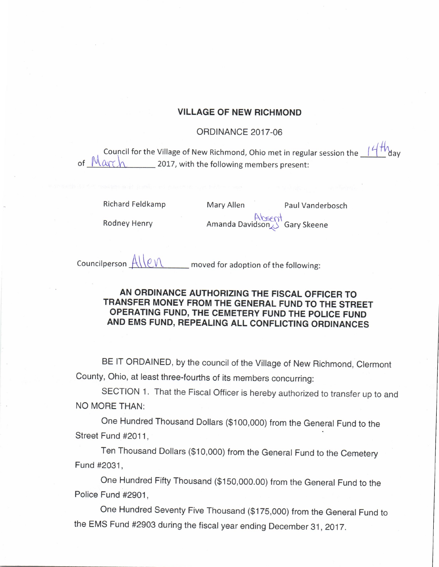## VILLAGE OF NEW RICHMOND

## **ORDINANCE 2017-06**

Council for the Village of New Richmond, Ohio met in regular session the  $\frac{1}{4}$   $\frac{1}{W}$ day of  $M$ arc $h$  2017, with the following members present:

Richard Feldkamp Mary Allen Paul Vanderbosch

Rodney Henry **Albeent**<br>Rodney Henry **Amanda Davidson Gary Skeene** 

Councilperson  $\underline{A\setminus C\setminus C}$  moved for adoption of the following:

## AN ORDINANCE AUTHORIZING THE FISCAL OFFICER TO TRANSFER MONEY FROM THE GENERAL FUND TO THE STREET OPERATING FUND, THE CEMETERY FUND THE POLICE FUND AND EMS FUND, REPEALING ALL CONFLICTING ORDINANCES

BE IT ORDAINED, by the council of the Village of New Richmond, Clermont County, Ohio, at least three- fourths of its members concurring:

SECTION 1. That the Fiscal Officer is hereby authorized to transfer up to and NO MORE THAN:

One Hundred Thousand Dollars (\$ 100, 000) from the General Fund to the Street Fund #2011.

Ten Thousand Dollars (\$ 10, 000) from the General Fund to the Cemetery Fund # 2031,

One Hundred Fifty Thousand (\$ 150, 000. 00) from the General Fund to the Police Fund #2901,

One Hundred Seventy Five Thousand (\$ 175, 000) from the General Fund to the EMS Fund #2903 during the fiscal year ending December 31, 2017.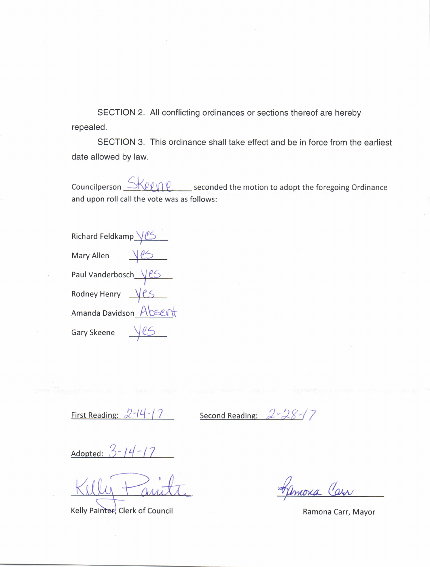SECTION 2. All conflicting ordinances or sections thereof are hereby repealed.

SECTION 3. This ordinance shall take effect and be in force from the earliest date allowed by law.

 $\mathbb{R}$   $\mathbb{R}$   $\mathbb{R}$  seconded the motion to adopt the foregoing Ordinance Councilperson and upon roll call the vote was as follows:

| Richard Feldkamp VCS   |  |
|------------------------|--|
| Mary Allen             |  |
| Paul Vanderbosch Ves   |  |
| Rodney Henry Ves       |  |
| Amanda Davidson_Absent |  |
| Gary Skeene            |  |

First Reading:  $2-14-7$ 

 $2 - 28 - 17$ Second Reading:

Adopted:  $3 - 14 - 17$ 

Kelly Painter, Clerk of Council

mora Carr

Ramona Carr, Mayor